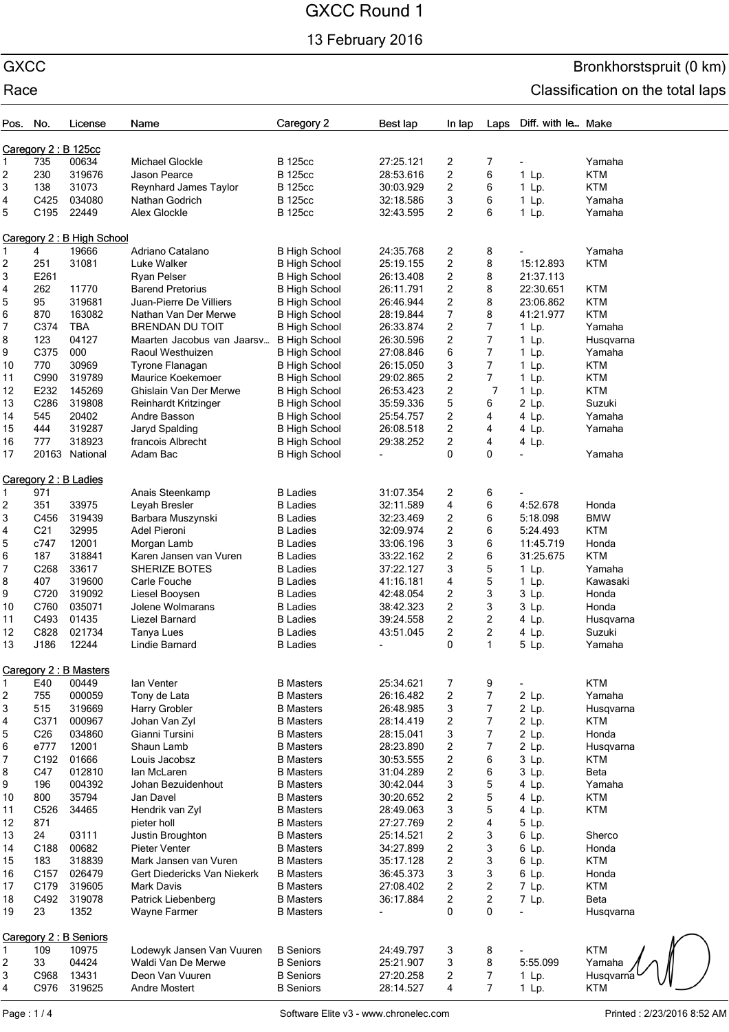13 February 2016

# GXCC Bronkhorstspruit (0 km) Race **Classification** on the total laps

| Pos. | No.                    | License                   | Name                        | Caregory 2           | Best lap       | In lap                  | Laps                    | Diff. with le Make |             |  |
|------|------------------------|---------------------------|-----------------------------|----------------------|----------------|-------------------------|-------------------------|--------------------|-------------|--|
|      |                        | Caregory 2: B 125cc       |                             |                      |                |                         |                         |                    |             |  |
| 1    | 735                    | 00634                     | <b>Michael Glockle</b>      | <b>B</b> 125cc       | 27:25.121      | 2                       | 7                       |                    | Yamaha      |  |
| 2    | 230                    | 319676                    | Jason Pearce                | <b>B</b> 125cc       | 28:53.616      | $\overline{c}$          | 6                       | 1 Lp.              | <b>KTM</b>  |  |
| 3    | 138                    | 31073                     | Reynhard James Taylor       | <b>B</b> 125cc       | 30:03.929      | 2                       | 6                       | 1 Lp.              | KTM         |  |
| 4    | C425                   | 034080                    | Nathan Godrich              | <b>B</b> 125cc       | 32:18.586      | 3                       | 6                       | 1 Lp.              | Yamaha      |  |
| 5    | C <sub>195</sub>       | 22449                     | Alex Glockle                | <b>B</b> 125cc       | 32:43.595      | 2                       | 6                       | 1 Lp.              | Yamaha      |  |
|      |                        | Caregory 2: B High School |                             |                      |                |                         |                         |                    |             |  |
| 1    | 4                      | 19666                     | Adriano Catalano            | <b>B High School</b> | 24:35.768      | 2                       | 8                       |                    | Yamaha      |  |
| 2    | 251                    | 31081                     | Luke Walker                 | <b>B High School</b> | 25:19.155      | 2                       | 8                       | 15:12.893          | <b>KTM</b>  |  |
| 3    | E261                   |                           | <b>Ryan Pelser</b>          | <b>B High School</b> | 26:13.408      | 2                       | 8                       | 21:37.113          |             |  |
| 4    | 262                    | 11770                     | <b>Barend Pretorius</b>     | <b>B High School</b> | 26:11.791      | 2                       | 8                       | 22:30.651          | <b>KTM</b>  |  |
| 5    | 95                     | 319681                    | Juan-Pierre De Villiers     | <b>B High School</b> | 26:46.944      | $\overline{\mathbf{c}}$ | 8                       | 23:06.862          | <b>KTM</b>  |  |
| 6    | 870                    | 163082                    | Nathan Van Der Merwe        | <b>B High School</b> | 28:19.844      | 7                       | 8                       | 41:21.977          | <b>KTM</b>  |  |
| 7    | C374                   | <b>TBA</b>                | <b>BRENDAN DU TOIT</b>      | <b>B High School</b> | 26:33.874      | 2                       | $\overline{7}$          | $1$ Lp.            | Yamaha      |  |
| 8    | 123                    | 04127                     | Maarten Jacobus van Jaarsv  | <b>B High School</b> | 26:30.596      | $\overline{c}$          | 7                       | $1$ Lp.            | Husqvarna   |  |
| 9    | C375                   | 000                       | Raoul Westhuizen            | <b>B High School</b> | 27:08.846      | 6                       | 7                       | 1 Lp.              | Yamaha      |  |
| 10   | 770                    | 30969                     | Tyrone Flanagan             | <b>B High School</b> | 26:15.050      | 3                       | $\overline{7}$          | 1 Lp.              | <b>KTM</b>  |  |
| 11   | C990                   | 319789                    | Maurice Koekemoer           | <b>B High School</b> | 29:02.865      | 2                       | 7                       | 1 Lp.              | <b>KTM</b>  |  |
| 12   | E232                   | 145269                    | Ghislain Van Der Merwe      | <b>B High School</b> | 26:53.423      | $\overline{\mathbf{c}}$ | $\overline{7}$          | 1 Lp.              | <b>KTM</b>  |  |
| 13   | C286                   | 319808                    | <b>Reinhardt Kritzinger</b> | <b>B High School</b> | 35:59.336      | 5                       | 6                       | 2 Lp.              | Suzuki      |  |
| 14   | 545                    | 20402                     | Andre Basson                | <b>B High School</b> | 25:54.757      | 2                       | 4                       | 4 Lp.              | Yamaha      |  |
| 15   | 444                    | 319287                    | Jaryd Spalding              | <b>B High School</b> | 26:08.518      | 2                       | 4                       | 4 Lp.              | Yamaha      |  |
| 16   | 777                    | 318923                    | francois Albrecht           | <b>B High School</b> | 29:38.252      | 2                       | 4                       | 4 Lp.              |             |  |
| 17   |                        | 20163 National            | Adam Bac                    | <b>B High School</b> |                | 0                       | 0                       |                    | Yamaha      |  |
|      |                        | Caregory 2 : B Ladies     |                             |                      |                |                         |                         |                    |             |  |
| 1    | 971                    |                           | Anais Steenkamp             | <b>B</b> Ladies      | 31:07.354      | 2                       | 6                       |                    |             |  |
| 2    | 351                    | 33975                     | Leyah Bresler               | <b>B</b> Ladies      | 32:11.589      | 4                       | 6                       | 4:52.678           | Honda       |  |
| 3    | C456                   | 319439                    | Barbara Muszynski           | <b>B</b> Ladies      | 32:23.469      | 2                       | 6                       | 5:18.098           | <b>BMW</b>  |  |
| 4    | C <sub>21</sub>        | 32995                     | Adel Pieroni                | <b>B</b> Ladies      | 32:09.974      | $\overline{\mathbf{c}}$ | 6                       | 5:24.493           | <b>KTM</b>  |  |
| 5    | c747                   | 12001                     | Morgan Lamb                 | <b>B</b> Ladies      | 33:06.196      | 3                       | 6                       | 11:45.719          | Honda       |  |
| 6    | 187                    | 318841                    | Karen Jansen van Vuren      | <b>B</b> Ladies      | 33:22.162      | 2                       | 6                       | 31:25.675          | <b>KTM</b>  |  |
| 7    | C268                   | 33617                     | <b>SHERIZE BOTES</b>        | <b>B</b> Ladies      | 37:22.127      | 3                       | 5                       | 1 Lp.              | Yamaha      |  |
| 8    | 407                    | 319600                    | Carle Fouche                | <b>B</b> Ladies      | 41:16.181      | 4                       | 5                       | 1 Lp.              | Kawasaki    |  |
| 9    | C720                   | 319092                    | Liesel Booysen              | <b>B</b> Ladies      | 42:48.054      | 2                       | 3                       | 3 Lp.              | Honda       |  |
| 10   | C760                   | 035071                    | Jolene Wolmarans            | <b>B</b> Ladies      | 38:42.323      | 2                       | 3                       | 3 Lp.              | Honda       |  |
| 11   | C493                   | 01435                     | Liezel Barnard              | <b>B</b> Ladies      | 39:24.558      | 2                       | $\overline{c}$          | 4 Lp.              | Husqvarna   |  |
| 12   | C828                   | 021734                    | Tanya Lues                  | <b>B</b> Ladies      | 43:51.045      | 2                       | $\overline{c}$          | 4 Lp.              | Suzuki      |  |
| 13   | J186                   | 12244                     | <b>Lindie Barnard</b>       | <b>B</b> Ladies      |                | 0                       | $\mathbf{1}$            | 5 Lp.              | Yamaha      |  |
|      |                        | Caregory 2: B Masters     |                             |                      |                |                         |                         |                    |             |  |
| 1    | E40                    | 00449                     | lan Venter                  | <b>B</b> Masters     | 25:34.621      | 7                       | 9                       |                    | <b>KTM</b>  |  |
| 2    | 755                    | 000059                    | Tony de Lata                | <b>B</b> Masters     | 26:16.482      | 2                       | $\boldsymbol{7}$        | 2 Lp.              | Yamaha      |  |
| 3    | 515                    | 319669                    | Harry Grobler               | <b>B</b> Masters     | 26:48.985      | 3                       | 7                       | 2 Lp.              | Husqvarna   |  |
| 4    | C371                   | 000967                    | Johan Van Zyl               | <b>B</b> Masters     | 28:14.419      | 2                       | $\boldsymbol{7}$        | 2 Lp.              | <b>KTM</b>  |  |
| 5    | C <sub>26</sub>        | 034860                    | Gianni Tursini              | <b>B</b> Masters     | 28:15.041      | 3                       | $\overline{7}$          | 2 Lp.              | Honda       |  |
| 6    | e777                   | 12001                     | Shaun Lamb                  | <b>B</b> Masters     | 28:23.890      | 2                       | $\boldsymbol{7}$        | 2 Lp.              | Husqvarna   |  |
| 7    | C192                   | 01666                     | Louis Jacobsz               | <b>B</b> Masters     | 30:53.555      | 2                       | 6                       | 3 Lp.              | <b>KTM</b>  |  |
| 8    | C47                    | 012810                    | lan McLaren                 | <b>B</b> Masters     | 31:04.289      | $\overline{\mathbf{c}}$ | 6                       | 3 Lp.              | Beta        |  |
| 9    | 196                    | 004392                    | Johan Bezuidenhout          | <b>B</b> Masters     | 30:42.044      | 3                       | 5                       | 4 Lp.              | Yamaha      |  |
| 10   | 800                    | 35794                     | Jan Davel                   | <b>B</b> Masters     | 30:20.652      | 2                       | 5                       | 4 Lp.              | <b>KTM</b>  |  |
| 11   | C526                   | 34465                     | Hendrik van Zyl             | <b>B</b> Masters     | 28:49.063      | 3                       | 5                       | 4 Lp.              | <b>KTM</b>  |  |
| 12   | 871                    |                           | pieter holl                 | <b>B</b> Masters     | 27:27.769      | 2                       | 4                       | 5 Lp.              |             |  |
| 13   | 24                     | 03111                     | Justin Broughton            | <b>B</b> Masters     | 25:14.521      | 2                       | 3                       | 6 Lp.              | Sherco      |  |
| 14   | C188                   | 00682                     | Pieter Venter               | <b>B</b> Masters     | 34:27.899      | 2                       | 3                       | 6 Lp.              | Honda       |  |
| 15   | 183                    | 318839                    | Mark Jansen van Vuren       | <b>B</b> Masters     | 35:17.128      | $\overline{\mathbf{c}}$ | 3                       | 6 Lp.              | <b>KTM</b>  |  |
| 16   | C <sub>157</sub>       | 026479                    | Gert Diedericks Van Niekerk | <b>B</b> Masters     | 36:45.373      | 3                       | 3                       | 6 Lp.              | Honda       |  |
| 17   | C179                   | 319605                    | Mark Davis                  | <b>B</b> Masters     | 27:08.402      | 2                       | $\overline{\mathbf{c}}$ | 7 Lp.              | <b>KTM</b>  |  |
| 18   | C492                   | 319078                    | Patrick Liebenberg          | <b>B</b> Masters     | 36:17.884      | 2                       | $\overline{c}$          | 7 Lp.              | <b>Beta</b> |  |
| 19   | 23                     | 1352                      | Wayne Farmer                | <b>B</b> Masters     | $\blacksquare$ | 0                       | 0                       |                    | Husqvarna   |  |
|      | Caregory 2 : B Seniors |                           |                             |                      |                |                         |                         |                    |             |  |
| 1    | 109                    | 10975                     | Lodewyk Jansen Van Vuuren   | <b>B</b> Seniors     | 24:49.797      | 3                       | 8                       |                    | <b>KTM</b>  |  |
| 2    | 33                     | 04424                     | Waldi Van De Merwe          | <b>B</b> Seniors     | 25:21.907      | 3                       | 8                       | 5:55.099           | Yamaha      |  |
| 3    | C968                   | 13431                     | Deon Van Vuuren             | <b>B</b> Seniors     | 27:20.258      | 2                       | 7                       | 1 Lp.              | Husgvarna   |  |
| 4    | C976                   | 319625                    | <b>Andre Mostert</b>        | <b>B</b> Seniors     | 28:14.527      | 4                       | 7                       | 1 Lp.              | <b>KTM</b>  |  |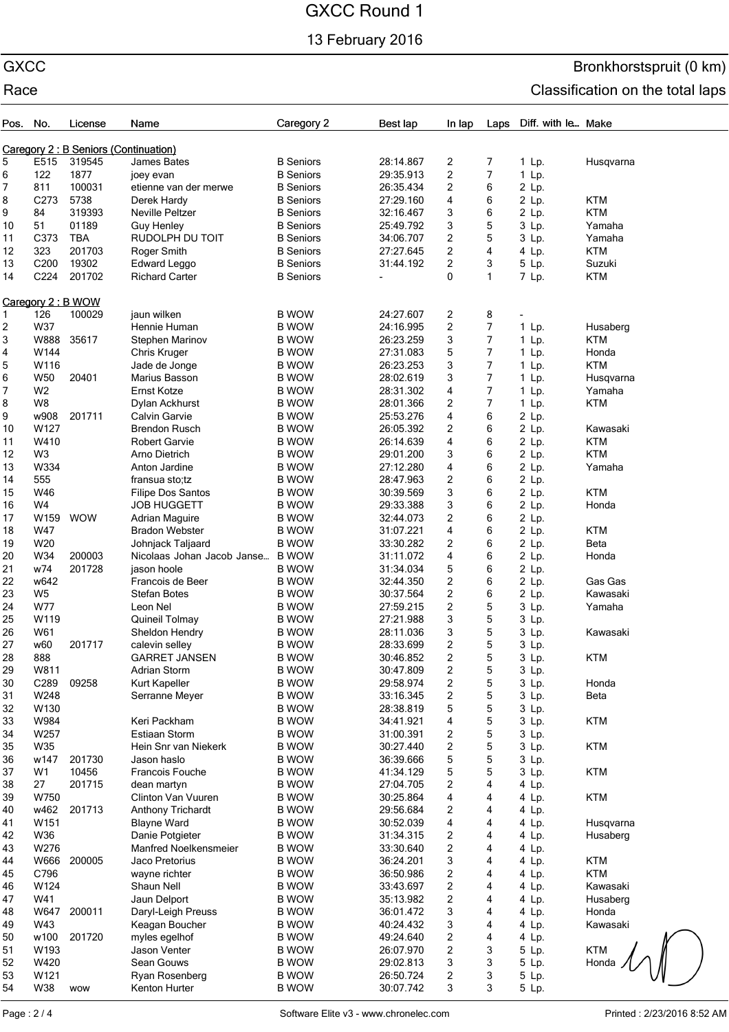13 February 2016

## GXCC Bronkhorstspruit (0 km) Race **Classification** on the total laps

| Pos. No. |                   | License                              | Name                       | Caregory 2       | Best lap  | In lap                  | Laps           | Diff. with le Make |            |
|----------|-------------------|--------------------------------------|----------------------------|------------------|-----------|-------------------------|----------------|--------------------|------------|
|          |                   |                                      |                            |                  |           |                         |                |                    |            |
|          |                   | Caregory 2: B Seniors (Continuation) |                            |                  |           |                         |                |                    |            |
| 5        | E515              | 319545                               | James Bates                | <b>B</b> Seniors | 28:14.867 | 2                       | 7              | $1$ Lp.            | Husqvarna  |
| 6        | 122               | 1877                                 | joey evan                  | <b>B</b> Seniors | 29:35.913 | $\overline{c}$          | 7              | 1 Lp.              |            |
| 7        | 811               | 100031                               | etienne van der merwe      | <b>B</b> Seniors | 26:35.434 | 2                       | 6              | 2 Lp.              |            |
| 8        | C273              | 5738                                 | Derek Hardy                | <b>B</b> Seniors | 27:29.160 | 4                       | 6              | 2 Lp.              | <b>KTM</b> |
| 9        | 84                | 319393                               | <b>Neville Peltzer</b>     | <b>B</b> Seniors | 32:16.467 | 3                       | 6              | 2 Lp.              | <b>KTM</b> |
| 10       | 51                | 01189                                | <b>Guy Henley</b>          | <b>B</b> Seniors | 25:49.792 | 3                       | 5              | 3 Lp.              | Yamaha     |
| 11       | C373              | <b>TBA</b>                           | RUDOLPH DU TOIT            | <b>B</b> Seniors | 34:06.707 | 2                       | 5              | 3 Lp.              | Yamaha     |
| 12       | 323               | 201703                               | Roger Smith                | <b>B</b> Seniors | 27:27.645 | 2                       | 4              | 4 Lp.              | <b>KTM</b> |
| 13       | C200              | 19302                                | <b>Edward Leggo</b>        | <b>B</b> Seniors | 31:44.192 | $\overline{c}$          | 3              | 5 Lp.              | Suzuki     |
| 14       | C224              | 201702                               | <b>Richard Carter</b>      | <b>B</b> Seniors |           | 0                       | 1              | 7 Lp.              | <b>KTM</b> |
|          |                   |                                      |                            |                  |           |                         |                |                    |            |
|          | Caregory 2: B WOW |                                      |                            |                  |           |                         |                |                    |            |
| 1        | 126               | 100029                               | jaun wilken                | <b>B WOW</b>     | 24:27.607 |                         |                |                    |            |
|          |                   |                                      |                            |                  |           | 2                       | 8              |                    |            |
| 2        | W37               |                                      | Hennie Human               | <b>B WOW</b>     | 24:16.995 | 2                       | 7              | $1$ Lp.            | Husaberg   |
| 3        | W888              | 35617                                | Stephen Marinov            | <b>B WOW</b>     | 26:23.259 | 3                       | 7              | $1$ Lp.            | <b>KTM</b> |
| 4        | W144              |                                      | Chris Kruger               | <b>B WOW</b>     | 27:31.083 | 5                       | $\overline{7}$ | $1$ Lp.            | Honda      |
| 5        | W116              |                                      | Jade de Jonge              | <b>B WOW</b>     | 26:23.253 | 3                       | $\overline{7}$ | $1$ Lp.            | <b>KTM</b> |
| 6        | <b>W50</b>        | 20401                                | Marius Basson              | <b>B WOW</b>     | 28:02.619 | 3                       | $\overline{7}$ | $1$ Lp.            | Husqvarna  |
| 7        | W <sub>2</sub>    |                                      | <b>Ernst Kotze</b>         | <b>B WOW</b>     | 28:31.302 | 4                       | 7              | $1$ Lp.            | Yamaha     |
| 8        | W8                |                                      | Dylan Ackhurst             | <b>B WOW</b>     | 28:01.366 | $\overline{c}$          | 7              | $1$ Lp.            | <b>KTM</b> |
| 9        | w908              | 201711                               | Calvin Garvie              | <b>B WOW</b>     | 25:53.276 | 4                       | 6              | 2 Lp.              |            |
| 10       | W127              |                                      | <b>Brendon Rusch</b>       | <b>B WOW</b>     | 26:05.392 | 2                       | 6              | 2 Lp.              | Kawasaki   |
| 11       | W410              |                                      | <b>Robert Garvie</b>       | <b>B WOW</b>     | 26:14.639 | 4                       | 6              | 2 Lp.              | <b>KTM</b> |
| 12       | W <sub>3</sub>    |                                      | Arno Dietrich              | <b>B WOW</b>     | 29:01.200 | 3                       | 6              | 2 Lp.              | <b>KTM</b> |
| 13       | W334              |                                      | Anton Jardine              | <b>B WOW</b>     | 27:12.280 | 4                       | 6              | 2 Lp.              | Yamaha     |
|          |                   |                                      |                            |                  |           |                         |                |                    |            |
| 14       | 555               |                                      | fransua sto;tz             | <b>B WOW</b>     | 28:47.963 | 2                       | 6              | 2 Lp.              |            |
| 15       | W46               |                                      | <b>Filipe Dos Santos</b>   | <b>B WOW</b>     | 30:39.569 | 3                       | 6              | 2 Lp.              | <b>KTM</b> |
| 16       | W4                |                                      | <b>JOB HUGGETT</b>         | <b>B WOW</b>     | 29:33.388 | 3                       | 6              | 2 Lp.              | Honda      |
| 17       | W159              | <b>WOW</b>                           | <b>Adrian Maguire</b>      | <b>B WOW</b>     | 32:44.073 | 2                       | 6              | 2 Lp.              |            |
| 18       | W47               |                                      | <b>Bradon Webster</b>      | <b>B WOW</b>     | 31:07.221 | 4                       | 6              | 2 Lp.              | <b>KTM</b> |
| 19       | W20               |                                      | Johnjack Taljaard          | <b>B WOW</b>     | 33:30.282 | 2                       | 6              | 2 Lp.              | Beta       |
| 20       | W34               | 200003                               | Nicolaas Johan Jacob Janse | <b>B WOW</b>     | 31:11.072 | 4                       | 6              | 2 Lp.              | Honda      |
| 21       | w74               | 201728                               | jason hoole                | <b>B WOW</b>     | 31:34.034 | 5                       | 6              | 2 Lp.              |            |
| 22       | w642              |                                      | Francois de Beer           | <b>B WOW</b>     | 32:44.350 | 2                       | 6              | 2 Lp.              | Gas Gas    |
| 23       | W <sub>5</sub>    |                                      | <b>Stefan Botes</b>        | <b>B WOW</b>     | 30:37.564 | $\overline{c}$          | 6              | 2 Lp.              | Kawasaki   |
| 24       | W77               |                                      | Leon Nel                   | <b>B WOW</b>     | 27:59.215 | $\overline{c}$          | 5              | 3 Lp.              | Yamaha     |
| 25       | W119              |                                      | Quineil Tolmay             | <b>B WOW</b>     | 27:21.988 | 3                       | 5              | 3 Lp.              |            |
| 26       |                   |                                      |                            |                  |           |                         |                | 3 Lp.              |            |
|          | W61               |                                      | Sheldon Hendry             | <b>B WOW</b>     | 28:11.036 | 3                       | 5              |                    | Kawasaki   |
| 27       | w60               | 201717                               | calevin selley             | <b>B WOW</b>     | 28:33.699 | $\overline{\mathbf{c}}$ | 5              | 3 Lp.              |            |
| 28       | 888               |                                      | <b>GARRET JANSEN</b>       | <b>B WOW</b>     | 30:46.852 | $\overline{2}$          | 5              | 3 Lp.              | KTM        |
| 29       | W811              |                                      | Adrian Storm               | <b>B WOW</b>     | 30:47.809 | $\overline{\mathbf{c}}$ | 5              | 3 Lp.              |            |
| 30       | C289              | 09258                                | Kurt Kapeller              | <b>B WOW</b>     | 29:58.974 | $\overline{\mathbf{c}}$ | 5              | 3 Lp.              | Honda      |
| 31       | W248              |                                      | Serranne Meyer             | <b>B WOW</b>     | 33:16.345 | $\overline{\mathbf{c}}$ | 5              | 3 Lp.              | Beta       |
| 32       | W130              |                                      |                            | <b>B WOW</b>     | 28:38.819 | 5                       | 5              | 3 Lp.              |            |
| 33       | W984              |                                      | Keri Packham               | <b>B WOW</b>     | 34:41.921 | 4                       | 5              | 3 Lp.              | <b>KTM</b> |
| 34       | W257              |                                      | <b>Estiaan Storm</b>       | <b>B WOW</b>     | 31:00.391 | 2                       | 5              | 3 Lp.              |            |
| 35       | W35               |                                      | Hein Snr van Niekerk       | <b>B WOW</b>     | 30:27.440 | $\overline{\mathbf{c}}$ | 5              | 3 Lp.              | <b>KTM</b> |
| 36       | w147              | 201730                               | Jason haslo                | <b>B WOW</b>     | 36:39.666 | 5                       | 5              | 3 Lp.              |            |
| 37       | W1                | 10456                                | Francois Fouche            | <b>B WOW</b>     | 41:34.129 | 5                       | 5              | 3 Lp.              | <b>KTM</b> |
| 38       | 27                | 201715                               | dean martyn                | <b>B WOW</b>     | 27:04.705 | $\overline{\mathbf{c}}$ | 4              | 4 Lp.              |            |
| 39       | W750              |                                      | Clinton Van Vuuren         | <b>B WOW</b>     | 30:25.864 | 4                       | 4              | 4 Lp.              | <b>KTM</b> |
| 40       | w462              | 201713                               | Anthony Trichardt          | <b>B WOW</b>     | 29:56.684 | 2                       | 4              | 4 Lp.              |            |
|          |                   |                                      |                            |                  |           |                         | 4              |                    |            |
| 41       | W151              |                                      | <b>Blayne Ward</b>         | <b>B WOW</b>     | 30:52.039 | 4                       |                | 4 Lp.              | Husqvarna  |
| 42       | W36               |                                      | Danie Potgieter            | <b>B WOW</b>     | 31:34.315 | $\overline{\mathbf{c}}$ | 4              | 4 Lp.              | Husaberg   |
| 43       | W276              |                                      | Manfred Noelkensmeier      | <b>B WOW</b>     | 33:30.640 | 2                       | 4              | 4 Lp.              |            |
| 44       |                   | W666 200005                          | Jaco Pretorius             | <b>B WOW</b>     | 36:24.201 | 3                       | 4              | 4 Lp.              | KTM        |
| 45       | C796              |                                      | wayne richter              | <b>B WOW</b>     | 36:50.986 | $\overline{\mathbf{c}}$ | 4              | 4 Lp.              | <b>KTM</b> |
| 46       | W124              |                                      | Shaun Nell                 | <b>B WOW</b>     | 33:43.697 | 2                       | 4              | 4 Lp.              | Kawasaki   |
| 47       | W41               |                                      | Jaun Delport               | <b>B WOW</b>     | 35:13.982 | 2                       | 4              | 4 Lp.              | Husaberg   |
| 48       | W647              | 200011                               | Daryl-Leigh Preuss         | <b>B WOW</b>     | 36:01.472 | 3                       | 4              | 4 Lp.              | Honda      |
| 49       | W43               |                                      | Keagan Boucher             | <b>B WOW</b>     | 40:24.432 | 3                       | 4              | 4 Lp.              | Kawasaki   |
| 50       | w100              | 201720                               | myles egelhof              | <b>B WOW</b>     | 49:24.640 | 2                       | 4              | 4 Lp.              |            |
| 51       | W193              |                                      | Jason Venter               | <b>B WOW</b>     | 26:07.970 | 2                       | 3              | 5 Lp.              | <b>KTM</b> |
| 52       | W420              |                                      | Sean Gouws                 | <b>B WOW</b>     | 29:02.813 | 3                       | 3              | 5 Lp.              | Honda      |
| 53       | W121              |                                      | Ryan Rosenberg             | <b>B WOW</b>     | 26:50.724 | $\overline{\mathbf{c}}$ | 3              | 5 Lp.              |            |
| 54       | W38               | wow                                  | Kenton Hurter              | <b>B WOW</b>     | 30:07.742 | 3                       | 3              | 5 Lp.              |            |
|          |                   |                                      |                            |                  |           |                         |                |                    |            |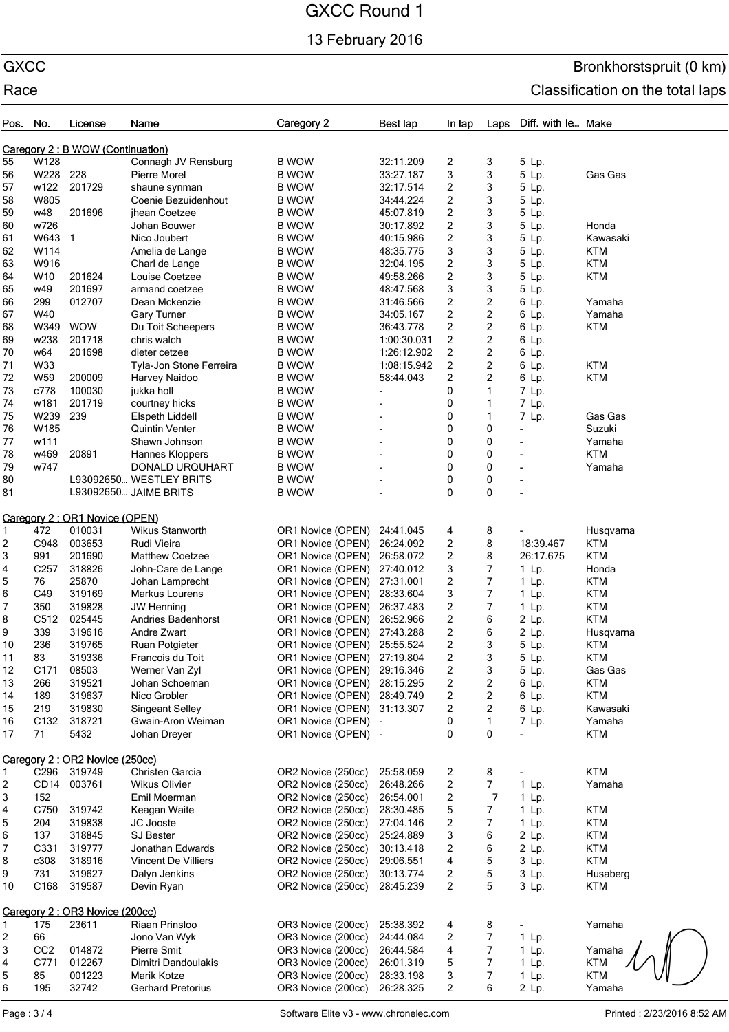13 February 2016

## GXCC Bronkhorstspruit (0 km) Race **Classification** on the total laps

| Pos.                              | No.              | License                                 | Name                                     | Caregory 2                                 | Best lap               | In lap                                | Laps                    | Diff. with le Make       |                         |
|-----------------------------------|------------------|-----------------------------------------|------------------------------------------|--------------------------------------------|------------------------|---------------------------------------|-------------------------|--------------------------|-------------------------|
| Caregory 2 : B WOW (Continuation) |                  |                                         |                                          |                                            |                        |                                       |                         |                          |                         |
| 55                                | W128             |                                         | Connagh JV Rensburg                      | <b>B WOW</b>                               | 32:11.209              | 2                                     | 3                       | 5 Lp.                    |                         |
| 56                                | W228             | 228                                     | Pierre Morel                             | <b>B WOW</b>                               | 33:27.187              | 3                                     | 3                       | 5 Lp.                    | Gas Gas                 |
| 57                                | w122             | 201729                                  | shaune synman                            | <b>B WOW</b>                               | 32:17.514              | $\overline{\mathbf{c}}$               | 3                       | 5 Lp.                    |                         |
| 58                                | W805             |                                         | Coenie Bezuidenhout                      | <b>B WOW</b>                               | 34:44.224              | $\overline{\mathbf{c}}$               | 3                       | 5 Lp.                    |                         |
| 59<br>60                          | w48<br>w726      | 201696                                  | jhean Coetzee<br>Johan Bouwer            | <b>B WOW</b><br><b>B WOW</b>               | 45:07.819<br>30:17.892 | $\sqrt{2}$<br>$\overline{\mathbf{c}}$ | 3<br>3                  | 5 Lp.<br>5 Lp.           | Honda                   |
| 61                                | W643             | $\mathbf{1}$                            | Nico Joubert                             | <b>B</b> WOW                               | 40:15.986              | $\sqrt{2}$                            | 3                       | 5 Lp.                    | Kawasaki                |
| 62                                | W114             |                                         | Amelia de Lange                          | <b>B WOW</b>                               | 48:35.775              | 3                                     | 3                       | 5 Lp.                    | <b>KTM</b>              |
| 63                                | W916             |                                         | Charl de Lange                           | <b>B WOW</b>                               | 32:04.195              | $\overline{c}$                        | 3                       | 5 Lp.                    | <b>KTM</b>              |
| 64                                | W10              | 201624                                  | Louise Coetzee                           | <b>B</b> WOW                               | 49:58.266              | $\overline{2}$                        | 3                       | 5 Lp.                    | <b>KTM</b>              |
| 65                                | w49              | 201697                                  | armand coetzee                           | <b>B</b> WOW                               | 48:47.568              | 3                                     | 3                       | 5 Lp.                    |                         |
| 66                                | 299              | 012707                                  | Dean Mckenzie                            | <b>B WOW</b>                               | 31:46.566              | $\sqrt{2}$                            | 2                       | 6 Lp.                    | Yamaha                  |
| 67                                | W40              |                                         | <b>Gary Turner</b>                       | <b>B WOW</b>                               | 34:05.167              | $\overline{2}$                        | 2                       | 6 Lp.                    | Yamaha                  |
| 68                                | W349             | <b>WOW</b>                              | Du Toit Scheepers                        | <b>B WOW</b>                               | 36:43.778              | $\overline{\mathbf{c}}$               | $\overline{\mathbf{c}}$ | 6 Lp.                    | <b>KTM</b>              |
| 69                                | w238             | 201718                                  | chris walch                              | <b>B WOW</b>                               | 1:00:30.031            | $\overline{2}$                        | $\overline{c}$          | 6 Lp.                    |                         |
| 70                                | w64              | 201698                                  | dieter cetzee                            | <b>B WOW</b>                               | 1:26:12.902            | $\sqrt{2}$                            | 2                       | 6 Lp.                    |                         |
| 71                                | W33              |                                         | Tyla-Jon Stone Ferreira                  | <b>B WOW</b>                               | 1:08:15.942            | 2                                     | 2                       | 6 Lp.                    | <b>KTM</b>              |
| 72                                | W59              | 200009                                  | Harvey Naidoo                            | <b>B</b> WOW                               | 58:44.043              | $\overline{2}$                        | 2                       | 6 Lp.                    | <b>KTM</b>              |
| 73                                | c778             | 100030                                  | jukka holl                               | <b>B WOW</b>                               |                        | 0                                     | $\mathbf{1}$            | 7 Lp.                    |                         |
| 74                                | w181<br>W239     | 201719                                  | courtney hicks                           | <b>B WOW</b>                               |                        | 0                                     | $\mathbf{1}$            | 7 Lp.                    |                         |
| 75<br>76                          | W185             | 239                                     | Elspeth Liddell<br><b>Quintin Venter</b> | <b>B WOW</b><br><b>B</b> WOW               |                        | 0<br>0                                | $\mathbf{1}$<br>0       | 7 Lp.<br>$\overline{a}$  | Gas Gas<br>Suzuki       |
| 77                                | w111             |                                         | Shawn Johnson                            | <b>B WOW</b>                               |                        | 0                                     | 0                       | $\overline{\phantom{a}}$ | Yamaha                  |
| 78                                | w469             | 20891                                   | Hannes Kloppers                          | <b>B WOW</b>                               |                        | $\mathbf 0$                           | 0                       | $\overline{\phantom{a}}$ | <b>KTM</b>              |
| 79                                | w747             |                                         | DONALD URQUHART                          | <b>B WOW</b>                               |                        | $\mathbf 0$                           | 0                       | $\overline{\phantom{a}}$ | Yamaha                  |
| 80                                |                  |                                         | L93092650 WESTLEY BRITS                  | <b>B</b> WOW                               |                        | 0                                     | 0                       |                          |                         |
| 81                                |                  |                                         | L93092650 JAIME BRITS                    | <b>B WOW</b>                               |                        | 0                                     | 0                       |                          |                         |
|                                   |                  |                                         |                                          |                                            |                        |                                       |                         |                          |                         |
|                                   | 472              | Caregory 2: OR1 Novice (OPEN)<br>010031 | Wikus Stanworth                          |                                            |                        |                                       |                         |                          |                         |
| 1.<br>2                           | C948             | 003653                                  | Rudi Vieira                              | OR1 Novice (OPEN)<br>OR1 Novice (OPEN)     | 24:41.045<br>26:24.092 | 4<br>$\overline{c}$                   | 8<br>8                  | 18:39.467                | Husqvarna<br><b>KTM</b> |
| 3                                 | 991              | 201690                                  | <b>Matthew Coetzee</b>                   | OR1 Novice (OPEN)                          | 26:58.072              | $\overline{c}$                        | 8                       | 26:17.675                | <b>KTM</b>              |
| 4                                 | C <sub>257</sub> | 318826                                  | John-Care de Lange                       | OR1 Novice (OPEN)                          | 27:40.012              | 3                                     | 7                       | 1 Lp.                    | Honda                   |
| 5                                 | 76               | 25870                                   | Johan Lamprecht                          | OR1 Novice (OPEN)                          | 27:31.001              | $\sqrt{2}$                            | 7                       | $1$ Lp.                  | <b>KTM</b>              |
| 6                                 | C49              | 319169                                  | Markus Lourens                           | OR1 Novice (OPEN)                          | 28:33.604              | 3                                     | $\overline{7}$          | 1 Lp.                    | <b>KTM</b>              |
| 7                                 | 350              | 319828                                  | <b>JW Henning</b>                        | OR1 Novice (OPEN)                          | 26:37.483              | $\overline{\mathbf{c}}$               | $\overline{7}$          | $1$ Lp.                  | <b>KTM</b>              |
| 8                                 | C512             | 025445                                  | <b>Andries Badenhorst</b>                | OR1 Novice (OPEN)                          | 26:52.966              | $\overline{\mathbf{c}}$               | 6                       | 2 Lp.                    | <b>KTM</b>              |
| 9                                 | 339              | 319616                                  | Andre Zwart                              | OR1 Novice (OPEN)                          | 27:43.288              | $\boldsymbol{2}$                      | 6                       | 2 Lp.                    | Husqvarna               |
| 10                                | 236              | 319765                                  | Ruan Potgieter                           | OR1 Novice (OPEN)                          | 25:55.524              | 2                                     | 3                       | 5 Lp.                    | <b>KTM</b>              |
| 11                                | 83               | 319336                                  | Francois du Toit                         | OR1 Novice (OPEN)                          | 27:19.804              | 2                                     | 3                       | 5 Lp.                    | KTM                     |
| 12                                | C <sub>171</sub> | 08503                                   | Werner Van Zyl                           | OR1 Novice (OPEN)                          | 29:16.346              | $\boldsymbol{2}$                      | 3                       | 5 Lp.                    | Gas Gas                 |
| 13                                | 266              | 319521                                  | Johan Schoeman                           | OR1 Novice (OPEN)                          | 28:15.295              | $\boldsymbol{2}$                      | 2                       | 6 Lp.                    | KTM                     |
| 14                                | 189              | 319637                                  | Nico Grobler                             | OR1 Novice (OPEN)                          | 28:49.749              | $\overline{\mathbf{c}}$               | 2                       | 6 Lp.                    | <b>KTM</b>              |
| 15                                | 219              | 319830                                  | <b>Singeant Selley</b>                   | OR1 Novice (OPEN)                          | 31:13.307              | $\boldsymbol{2}$                      | $\overline{c}$          | 6 Lp.                    | Kawasaki                |
| 16<br>17                          | C132<br>71       | 318721<br>5432                          | Gwain-Aron Weiman<br>Johan Dreyer        | OR1 Novice (OPEN) -<br>OR1 Novice (OPEN) - |                        | 0<br>0                                | 1<br>0                  | 7 Lp.<br>÷,              | Yamaha<br><b>KTM</b>    |
|                                   |                  |                                         |                                          |                                            |                        |                                       |                         |                          |                         |
|                                   |                  | Caregory 2: OR2 Novice (250cc)          |                                          |                                            |                        |                                       |                         |                          |                         |
| 1                                 | C296             | 319749                                  | Christen Garcia                          | OR2 Novice (250cc)                         | 25:58.059              | $\overline{\mathbf{c}}$               | 8                       |                          | <b>KTM</b>              |
| 2                                 | CD <sub>14</sub> | 003761                                  | Wikus Olivier                            | OR2 Novice (250cc)<br>OR2 Novice (250cc)   | 26:48.266              | $\overline{\mathbf{c}}$               | $\overline{7}$          | 1 Lp.                    | Yamaha                  |
| 3<br>4                            | 152<br>C750      | 319742                                  | Emil Moerman<br>Keagan Waite             | OR2 Novice (250cc)                         | 26:54.001<br>28:30.485 | $\overline{\mathbf{c}}$<br>5          | 7<br>7                  | $1$ Lp.<br>$1$ Lp.       | <b>KTM</b>              |
| 5                                 | 204              | 319838                                  | JC Jooste                                | OR2 Novice (250cc)                         | 27:04.146              | $\boldsymbol{2}$                      | $\overline{7}$          | 1 Lp.                    | <b>KTM</b>              |
| 6                                 | 137              | 318845                                  | SJ Bester                                | OR2 Novice (250cc)                         | 25:24.889              | 3                                     | 6                       | 2 Lp.                    | <b>KTM</b>              |
| 7                                 | C331             | 319777                                  | Jonathan Edwards                         | OR2 Novice (250cc)                         | 30:13.418              | $\overline{\mathbf{c}}$               | 6                       | 2 Lp.                    | <b>KTM</b>              |
| 8                                 | c308             | 318916                                  | <b>Vincent De Villiers</b>               | OR2 Novice (250cc)                         | 29:06.551              | $\overline{\mathbf{4}}$               | 5                       | 3 Lp.                    | <b>KTM</b>              |
| 9                                 | 731              | 319627                                  | Dalyn Jenkins                            | OR2 Novice (250cc)                         | 30:13.774              | $\boldsymbol{2}$                      | 5                       | 3 Lp.                    | Husaberg                |
| 10                                | C168             | 319587                                  | Devin Ryan                               | OR2 Novice (250cc)                         | 28:45.239              | $\overline{2}$                        | 5                       | 3 Lp.                    | <b>KTM</b>              |
| Caregory 2: OR3 Novice (200cc)    |                  |                                         |                                          |                                            |                        |                                       |                         |                          |                         |
| $\mathbf{1}$                      | 175              | 23611                                   | Riaan Prinsloo                           | OR3 Novice (200cc)                         | 25:38.392              | 4                                     | 8                       |                          | Yamaha                  |
| 2                                 | 66               |                                         | Jono Van Wyk                             | OR3 Novice (200cc)                         | 24:44.084              | 2                                     | $\boldsymbol{7}$        | 1 Lp.                    |                         |
| 3                                 | CC <sub>2</sub>  | 014872                                  | Pierre Smit                              | OR3 Novice (200cc)                         | 26:44.584              | 4                                     | 7                       | $1$ Lp.                  | Yamaha                  |
| 4                                 | C771             | 012267                                  | Dimitri Dandoulakis                      | OR3 Novice (200cc)                         | 26:01.319              | 5                                     | $\overline{7}$          | $1$ Lp.                  | <b>KTM</b>              |
| 5                                 | 85               | 001223                                  | Marik Kotze                              | OR3 Novice (200cc)                         | 28:33.198              | 3                                     | $\overline{7}$          | $1$ Lp.                  | <b>KTM</b>              |
| 6                                 | 195              | 32742                                   | <b>Gerhard Pretorius</b>                 | OR3 Novice (200cc)                         | 26:28.325              | $\overline{2}$                        | 6                       | 2 Lp.                    | Yamaha                  |